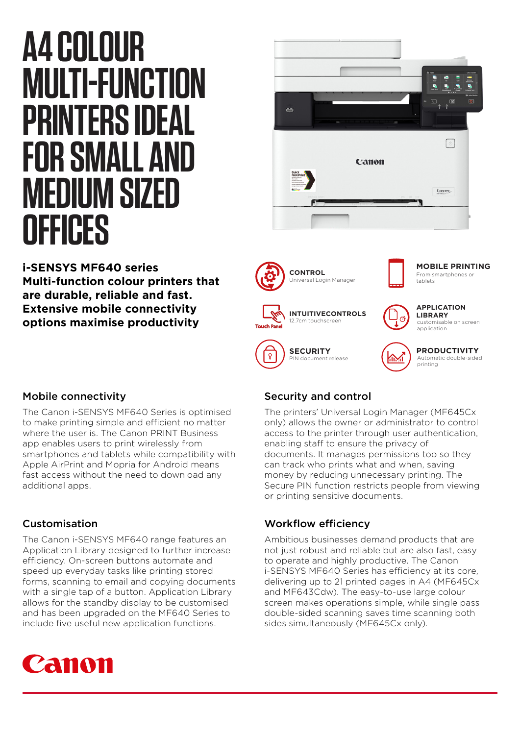# **A4 COLOUR MULTI-FUNCTION PRINTERS IDEAL FOR SMALL AND MEDIUM SIZED OFFICES**



# **i-SENSYS MF640 series Multi-function colour printers that are durable, reliable and fast. Extensive mobile connectivity options maximise productivity**



# Mobile connectivity

The Canon i-SENSYS MF640 Series is optimised to make printing simple and efficient no matter where the user is. The Canon PRINT Business app enables users to print wirelessly from smartphones and tablets while compatibility with Apple AirPrint and Mopria for Android means fast access without the need to download any additional apps.

### Customisation

The Canon i-SENSYS MF640 range features an Application Library designed to further increase efficiency. On-screen buttons automate and speed up everyday tasks like printing stored forms, scanning to email and copying documents with a single tap of a button. Application Library allows for the standby display to be customised and has been upgraded on the MF640 Series to include five useful new application functions.



# Security and control

The printers' Universal Login Manager (MF645Cx only) allows the owner or administrator to control access to the printer through user authentication, enabling staff to ensure the privacy of documents. It manages permissions too so they can track who prints what and when, saving money by reducing unnecessary printing. The Secure PIN function restricts people from viewing or printing sensitive documents.

# Workflow efficiency

Ambitious businesses demand products that are not just robust and reliable but are also fast, easy to operate and highly productive. The Canon i-SENSYS MF640 Series has efficiency at its core, delivering up to 21 printed pages in A4 (MF645Cx and MF643Cdw). The easy-to-use large colour screen makes operations simple, while single pass double-sided scanning saves time scanning both sides simultaneously (MF645Cx only).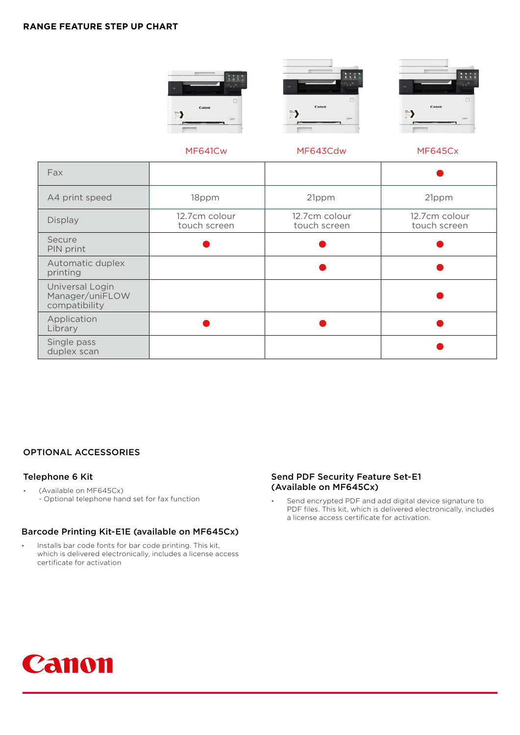#### **RANGE FEATURE STEP UP CHART**







#### MF641Cw

MF643Cdw

#### MF645Cx

| Fax                                                 |                               |                               |                               |
|-----------------------------------------------------|-------------------------------|-------------------------------|-------------------------------|
| A4 print speed                                      | 18ppm                         | 21ppm                         | 21ppm                         |
| <b>Display</b>                                      | 12.7cm colour<br>touch screen | 12.7cm colour<br>touch screen | 12.7cm colour<br>touch screen |
| Secure<br>PIN print                                 |                               |                               |                               |
| Automatic duplex<br>printing                        |                               |                               |                               |
| Universal Login<br>Manager/uniFLOW<br>compatibility |                               |                               |                               |
| Application<br>Library                              |                               |                               |                               |
| Single pass<br>duplex scan                          |                               |                               |                               |

#### OPTIONAL ACCESSORIES

#### Telephone 6 Kit

• (Available on MF645Cx) - Optional telephone hand set for fax function

#### Barcode Printing Kit-E1E (available on MF645Cx)

Installs bar code fonts for bar code printing. This kit, which is delivered electronically, includes a license access certificate for activation

#### Send PDF Security Feature Set-E1 (Available on MF645Cx)

Send encrypted PDF and add digital device signature to PDF files. This kit, which is delivered electronically, includes a license access certificate for activation.

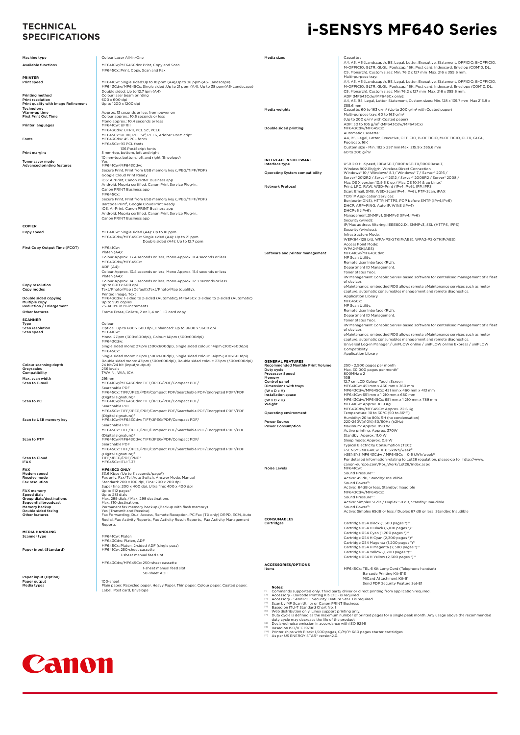# **SPECIFICATIONS**

# **i-SENSYS MF640 Series TECHNICAL**

|                                              |                                                                                                                                                                  |                                                                                                                              | Cassette:                                                                                                                |
|----------------------------------------------|------------------------------------------------------------------------------------------------------------------------------------------------------------------|------------------------------------------------------------------------------------------------------------------------------|--------------------------------------------------------------------------------------------------------------------------|
| Machine type                                 | Colour Laser All-In-One                                                                                                                                          | Media sizes                                                                                                                  | A4, A5, A5 (Landscape), B5, Legal, Letter, Executive, Statement, OFFICIO, B-OFFICIO,                                     |
| <b>Available functions</b>                   | MF641Cw/MF643Cdw: Print, Copy and Scan                                                                                                                           |                                                                                                                              | M-OFFICIO, GLTR, GLGL, Foolscap, 16K, Post card, Indexcard, Envelop (COM10, DL,                                          |
|                                              | MF645Cx: Print, Copy, Scan and Fax                                                                                                                               |                                                                                                                              | C5, Monarch), Custom sizes: Min. 76.2 x 127 mm Max. 216 x 355.6 mm.                                                      |
| PRINTER<br>Print speed                       |                                                                                                                                                                  |                                                                                                                              | Multi-purpose trav:<br>A4, A5, A5 (Landscape), B5, Legal, Letter, Executive, Statement, OFFICIO, B-OFFICIO,              |
|                                              | MF641Cw: Single sided:Up to 18 ppm (A4),Up to 38 ppm (A5-Landscape)<br>MF643Cdw/MF645Cx: Single sided :Up to 21 ppm (A4), Up to 38 ppm(A5-Landscape)             |                                                                                                                              | M-OFFICIO, GLTR, GLGL, Foolscap, 16K, Post card, Indexcard, Envelope (COM10, DL,                                         |
|                                              | Double sided: Up to 12.7 ipm (A4)                                                                                                                                |                                                                                                                              | C5, Monarch), Custom sizes: Min 76.2 x 127 mm Max. 216 x 355.6 mm.                                                       |
| Printing method<br>Print resolution          | Colour laser beam printing<br>600 x 600 dpi                                                                                                                      |                                                                                                                              | ADE (ME643Cdw/ME645Cx only):<br>A4, A5, B5, Legal, Letter, Statement, Custom sizes: Min. 128 x 139.7 mm Max 215.9 x      |
| Print quality with Image Refinement          | Up to 1200 x 1200 dpi                                                                                                                                            |                                                                                                                              | 355.6 mm                                                                                                                 |
| Technology<br>Warm-up time                   | Approx. 13 seconds or less from power on                                                                                                                         | Media weights                                                                                                                | Cassette: 60 to 163 g/m <sup>2</sup> (Up to 200 g/m <sup>2</sup> with Coated paper)                                      |
| <b>First Print Out Time</b>                  | Colour approx.: 10.5 seconds or less                                                                                                                             |                                                                                                                              | Multi-purpose tray: 60 to 163 g/m <sup>2</sup><br>(Up to 200 g/m <sup>2</sup> with Coated paper)                         |
| <b>Printer languages</b>                     | Mono approx.: 10.4 seconds or less<br>MF641Cw: UFRII                                                                                                             |                                                                                                                              | ADF: 50 to 105 g/m <sup>2</sup> (MF643Cdw/MF645Cx)                                                                       |
|                                              | MF643Cdw: UFRII, PCL 5c', PCL6                                                                                                                                   | Double sided printing                                                                                                        | MF643Cdw/MF645Cx:                                                                                                        |
|                                              | MF645Cx: UFRII, PCL 5c <sup>1</sup> , PCL6, Adobe* PostScript                                                                                                    |                                                                                                                              | Automatic Cassette:<br>A4, B5, Legal, Letter, Executive, OFFICIO, B-OFFICIO, M-OFFICIO, GLTR, GLGL,                      |
| Fonts                                        | MF643Cdw: 45 PCL fonts<br>MF645Cx: 93 PCL fonts                                                                                                                  |                                                                                                                              | Foolscap, 16K                                                                                                            |
|                                              | 136 PostScript fonts                                                                                                                                             |                                                                                                                              | Custom size - Min. 182 x 257 mm Max. 215.9 x 355.6 mm                                                                    |
| Print margins                                | 5 mm-top, bottom, left and right<br>10 mm-top, bottom, left and right (Envelope)                                                                                 |                                                                                                                              | 60 to 200 g/m <sup>2</sup>                                                                                               |
| Toner saver mode                             | Yes                                                                                                                                                              | <b>INTERFACE &amp; SOFTWARE</b>                                                                                              |                                                                                                                          |
| <b>Advanced printing features</b>            | MF641Cw/MF643Cdw:                                                                                                                                                | Interface type                                                                                                               | USB 2.0 Hi-Speed, 10BASE-T/100BASE-TX/1000Base-T,<br>Wireless 802.11b/g/n, Wireless Direct Connection                    |
|                                              | Secure Print, Print from USB memory key (JPEG/TIFF/PDF)<br>Google Cloud Print Ready                                                                              | <b>Operating System compatibility</b>                                                                                        | Windows* 10 / Windows* 8.1 / Windows* 7 / Server* 2016 /                                                                 |
|                                              | iOS: AirPrint, Canon PRINT Business app                                                                                                                          |                                                                                                                              | Server* 2012R2 / Server* 2012 / Server* 2008R2 / Server* 2008 /                                                          |
|                                              | Android; Mopria certified, Canon Print Service Plug-in,                                                                                                          | <b>Network Protocol</b>                                                                                                      | Mac OS X version 10.9.5 & up / Mac OS 10.14 & up Linux <sup>6</sup><br>Print: LPD, RAW, WSD-Print (IPv4,IPv6), IPP, IPPS |
|                                              | Canon PRINT Business app<br>MF645Cx:                                                                                                                             |                                                                                                                              | Scan: Email, SMB, WSD-Scan(IPv4, IPv6), FTP-Scan, iFAX                                                                   |
|                                              | Secure Print, Print from USB memory key (JPEG/TIFF/PDF)                                                                                                          |                                                                                                                              | TCP/IP Application Services:<br>Bonjour(mDNS), HTTP, HTTPS, POP before SMTP (IPv4,IPv6)                                  |
|                                              | Barcode Print <sup>2</sup> , Google Cloud Print Ready                                                                                                            |                                                                                                                              | DHCP, ARP+PING, Auto IP, WINS (IPv4)                                                                                     |
|                                              | iOS: AirPrint, Canon PRINT Business app                                                                                                                          |                                                                                                                              | DHCPv6 (IPv6)                                                                                                            |
|                                              | Android; Mopria certified, Canon Print Service Plug-in,<br>Canon PRINT Business app                                                                              |                                                                                                                              | Management:SNMPv1, SNMPv3 (IPv4,IPv6)                                                                                    |
|                                              |                                                                                                                                                                  |                                                                                                                              | Security (wired):                                                                                                        |
| <b>COPIER</b>                                |                                                                                                                                                                  |                                                                                                                              | IP/Mac address filtering, IEEE802.1X, SNMPv3, SSL (HTTPS, IPPS)<br>Security (wireless):                                  |
| Copy speed                                   | MF641Cw: Single sided (A4): Up to 18 ppm<br>MF643Cdw/MF645Cx: Single sided (A4): Up to 21 ppm                                                                    |                                                                                                                              | Infrastructure Mode:                                                                                                     |
|                                              | Double sided (A4): Up to 12.7 ppm                                                                                                                                |                                                                                                                              | WEP(64/128 bit), WPA-PSK(TKIP/AES), WPA2-PSK(TKIP/AES)                                                                   |
| First Copy Output Time (FCOT)                | MF641Cw:                                                                                                                                                         |                                                                                                                              | Access Point Mode:<br>WPA2-PSK(AES)                                                                                      |
|                                              | Platen (A4):                                                                                                                                                     | Software and printer management                                                                                              | MF641Cw/MF643Cdw:                                                                                                        |
|                                              | Colour Approx. 13.4 seconds or less, Mono Approx. 11.4 seconds or less<br>MF643Cdw/MF645Cx:                                                                      |                                                                                                                              | MF Scan Utility,                                                                                                         |
|                                              | ADF(A4)                                                                                                                                                          |                                                                                                                              | Remote User Interface (RUI),<br>Department ID Management,                                                                |
|                                              | Colour Approx. 13.4 seconds or less, Mono Approx. 11.4 seconds or less                                                                                           |                                                                                                                              | Toner Status Tool,                                                                                                       |
|                                              | Platen (A4):                                                                                                                                                     |                                                                                                                              | iW Management Console: Server-based software for centralised management of a fleet                                       |
| Copy resolution                              | Colour Approx. 14.5 seconds or less, Mono Approx. 12.3 seconds or less<br>Up to 600 x 600 dpi                                                                    |                                                                                                                              | of devices<br>eMaintenance: embedded RDS allows remote eMaintenance services such as meter                               |
| Copy modes                                   | Text/Photo/Map (Default), Text/Photo/Map (quality),                                                                                                              |                                                                                                                              | capture, automatic consumables management and remote diagnostics.                                                        |
| Double sided copying                         | Printed Image, Text<br>MF643Cdw: 1-sided to 2-sided (Automatic), MF645Cx: 2-sided to 2-sided (Automatic)                                                         |                                                                                                                              | <b>Application Library</b>                                                                                               |
| Multiple copy                                | Up to 999 copies                                                                                                                                                 |                                                                                                                              | MF645Cx:                                                                                                                 |
| Reduction / Enlargement<br>Other features    | 25-400% in 1% increments                                                                                                                                         |                                                                                                                              | MF Scan Utility,<br>Remote User Interface (RUI),                                                                         |
|                                              | Frame Erase, Collate, 2 on 1, 4 on 1, ID card copy                                                                                                               |                                                                                                                              | Department ID Management,                                                                                                |
| <b>SCANNER</b><br>Type                       | Colour                                                                                                                                                           |                                                                                                                              | Toner Status Tool.                                                                                                       |
| Scan resolution                              | Optical: Up to 600 x 600 dpi, Enhanced: Up to 9600 x 9600 dpi                                                                                                    |                                                                                                                              | iW Management Console: Server-based software for centralised management of a fleet<br>of devices                         |
| Scan speed                                   | MF641Cw:                                                                                                                                                         |                                                                                                                              | eMaintenance: embedded RDS allows remote eMaintenance services such as meter                                             |
|                                              | Mono: 27ipm (300x600dpi), Colour: 14ipm (300x600dpi)<br>MF643Cdw:                                                                                                |                                                                                                                              | capture, automatic consumables management and remote diagnostics.                                                        |
|                                              | Single sided mono: 27ipm (300x600dpi), Single sided colour: 14ipm (300x600dpi)                                                                                   |                                                                                                                              | Universal Log-in Manager / uniFLOW online / uniFLOW online Express / uniFLOW                                             |
|                                              | MF645Cx:                                                                                                                                                         |                                                                                                                              | Compatibility<br><b>Application Library</b>                                                                              |
|                                              | Single sided mono: 27ipm (300x600dpi), Single sided colour: 14ipm (300x600dpi)<br>Double sided mono: 47ipm (300x600dpi), Double sided colour: 27ipm (300x600dpi) | <b>GENERAL FEATURES</b>                                                                                                      |                                                                                                                          |
| Colour scanning depth                        | 24 bit/24 bit (input/output)                                                                                                                                     | Recommended Monthly Print Volume                                                                                             | 250 - 2,500 pages per month                                                                                              |
| Greyscales<br>Compatibility                  | 256 levels<br>TWAIN, WIA, ICA                                                                                                                                    | Duty cycle<br>Processor Speed                                                                                                | Max. 30,000 pages per month <sup>7</sup><br>800MHz x 2                                                                   |
| Max, scan width                              | 216mm                                                                                                                                                            | Memory                                                                                                                       | 1GB                                                                                                                      |
| Scan to E-mail                               | MF641Cw/MF643Cdw: TIFF/JPEG/PDF/Compact PDF/                                                                                                                     | Control panel<br>Dimensions with trays                                                                                       | 12.7 cm LCD Colour Touch Screen<br>MF641Cw: 451 mm x 460 mm x 360 mm                                                     |
|                                              | Searchable PDF<br>MF645Cx: TIFF/JPEG/PDF/Compact PDF/Searchable PDF/Encrypted PDF3/PDF                                                                           | $(W \times D \times H)$                                                                                                      | MF643Cdw/MF645Cx: 451 mm x 460 mm x 413 mm                                                                               |
|                                              | (Digital signature) <sup>3</sup>                                                                                                                                 | <b>Installation space</b>                                                                                                    | MF641Cw: 651 mm x 1.210 mm x 680 mm                                                                                      |
| Scan to PC                                   | MF641Cw/MF643Cdw: TIFF/JPEG/PDF/Compact PDF/                                                                                                                     | $(W \times D \times H)$<br>Weight                                                                                            | MF643Cdw/MF645Cx: 651 mm x 1,210 mm x 789 mm<br>MF641Cw: Approx. 18.9 Kg                                                 |
|                                              | Searchable PDF<br>MF645Cx: TIFF/JPEG/PDF/Compact PDF/Searchable PDF/Encrypted PDF3/PDF                                                                           |                                                                                                                              | MF643Cdw/MF645Cx: Approx. 22.6 Kg                                                                                        |
|                                              | (Digital signature) <sup>3</sup>                                                                                                                                 | Operating environment                                                                                                        | Temperature: 10 to 30°C (50 to 86°F)                                                                                     |
| Scan to USB memory key                       | MF641Cw/MF643Cdw: TIFF/JPEG/PDF/Compact PDF/                                                                                                                     | <b>Power Source</b>                                                                                                          | Humidity: 20 to 80% RH (no condensation)<br>220-240V(±10%) 50/60Hz (±2Hz)                                                |
|                                              | Searchable PDE<br>MF645Cx: TIFF/JPEG/PDF/Compact PDF/Searchable PDF/Encrypted PDF3/PDF                                                                           | <b>Power Consumption</b>                                                                                                     | Maximum: Approx. 850 W                                                                                                   |
|                                              | (Digital signature) <sup>3</sup>                                                                                                                                 |                                                                                                                              | Active printing: Approx. 370W<br>Standby: Approx. 11.0 W                                                                 |
| Scan to FTP                                  | MF641Cw/MF643Cdw: TIFF/JPEG/PDF/Compact PDF/                                                                                                                     |                                                                                                                              | Sleep mode: Approx, 0.8 W                                                                                                |
|                                              | Searchable PDF                                                                                                                                                   |                                                                                                                              | Typical Electricity Consumption (TEC):                                                                                   |
|                                              | MF645Cx: TIFF/JPEG/PDF/Compact PDF/Searchable PDF/Encrypted PDF3/PDF<br>(Digital signature) <sup>3</sup>                                                         |                                                                                                                              | i-SENSYS MF641Cw = 0.5 kWh/week <sup>1</sup><br>i-SENSYS MF643Cdw / MF645Cx = 0.6 kWh/week"                              |
| <b>Scan to Cloud</b>                         | TIFF/JPEG/PDF/PNG <sup>4</sup>                                                                                                                                   |                                                                                                                              | For detailed information relating to Lot26 regulation, please go to: http://www.                                         |
| <b>iFAX</b>                                  | MF645Cx: ITU-T.37                                                                                                                                                |                                                                                                                              | canon-europe.com/For_Work/Lot26/index.aspx                                                                               |
| <b>FAX</b><br>Modem speed                    | MF645CX ONLY<br>33.6 Kbps (Up to 3 seconds/page <sup>5</sup> )                                                                                                   | <b>Noise Levels</b>                                                                                                          | MF641Cw:<br>Sound Pressure <sup>8</sup> :                                                                                |
| Receive mode                                 | Fax only, Fax/Tel Auto Switch, Answer Mode, Manual                                                                                                               |                                                                                                                              | Active: 49 dB, Standby: Inaudible                                                                                        |
| Fax resolution                               | Standard: 200 x 100 dpi, Fine: 200 x 200 dpi<br>Super fine: 200 x 400 dpi, Ultra fine: 400 x 400 dpi                                                             |                                                                                                                              | Sound Power <sup>8</sup> :                                                                                               |
| <b>FAX memory</b>                            | Up to 512 pages <sup>5</sup>                                                                                                                                     |                                                                                                                              | Active: 64dB or less, Standby: Inaudible<br>MF643Cdw/MF645Cx:                                                            |
| Speed dials<br>Group dials/destinations      | Up to 281 dials<br>Max. 299 dials / Max. 299 destinations                                                                                                        |                                                                                                                              | Sound Pressure <sup>8</sup>                                                                                              |
| <b>Sequential broadcast</b>                  | Max. 310 destinations                                                                                                                                            |                                                                                                                              | Active: Simplex 51 dB / Duplex 50 dB, Standby: Inaudible                                                                 |
| Memory backup<br>Double sided faxing         | Permanent fax memory backup (Backup with flash memory)<br>Yes (Transmit and Receive)                                                                             |                                                                                                                              | Sound Power <sup>8</sup> :<br>Active: Simplex 65dB or less / Duplex 67 dB or less, Standby: Inaudible                    |
| Other features                               | Fax Forwarding, Dual Access, Remote Reception, PC Fax (TX only) DRPD, ECM, Auto                                                                                  |                                                                                                                              |                                                                                                                          |
|                                              | Redial, Fax Activity Reports, Fax Activity Result Reports, Fax Activity Management                                                                               | <b>CONSUMABLES</b><br>Cartridges                                                                                             | Cartridge 054 Black (1,500 pages <sup>9</sup> ) <sup>10</sup>                                                            |
|                                              | Reports                                                                                                                                                          |                                                                                                                              | Cartridge 054 H Black (3,100 pages 9) <sup>10</sup>                                                                      |
| <b>MEDIA HANDLING</b><br><b>Scanner type</b> | MF641Cw: Platen                                                                                                                                                  |                                                                                                                              | Cartridge 054 Cyan (1,200 pages <sup>9</sup> ) <sup>10</sup>                                                             |
|                                              | MF643Cdw: Platen, ADF                                                                                                                                            |                                                                                                                              | Cartridge 054 H Cyan (2,300 pages <sup>9</sup> ) <sup>10</sup><br>Cartridge 054 Magenta (1,200 pages 9) <sup>10</sup>    |
|                                              | MF645Cx: Platen, 2-sided ADF (single pass)                                                                                                                       |                                                                                                                              | Cartridge 054 H Magenta (2,300 pages 9) <sup>10</sup>                                                                    |
| Paper input (Standard)                       | MF641Cw: 250-sheet cassette<br>1-sheet manual feed slot                                                                                                          |                                                                                                                              | Cartridge 054 Yellow (1,200 pages <sup>9</sup> ) <sup>10</sup>                                                           |
|                                              |                                                                                                                                                                  |                                                                                                                              | Cartridge 054 H Yellow (2,300 pages 9) <sup>10</sup>                                                                     |
|                                              | MF643Cdw/MF645Cx: 250-sheet cassette                                                                                                                             | <b>ACCESSORIES/OPTIONS</b>                                                                                                   |                                                                                                                          |
|                                              | 1-sheet manual feed slot<br>50-sheet ADF                                                                                                                         | Items                                                                                                                        | MF645Cx: TEL 6 Kit Long Cord (Telephone handset)<br>Barcode Printing Kit-E1E                                             |
| Paper input (Option)                         |                                                                                                                                                                  |                                                                                                                              | MiCard Attachment Kit-B1                                                                                                 |
| Paper output<br>Media types                  | 100-sheet<br>Plain paper, Recycled paper, Heavy Paper, Thin paper, Colour paper, Coated paper,                                                                   |                                                                                                                              | Send PDF Security Feature Set-E1                                                                                         |
|                                              | Label, Post card, Envelope                                                                                                                                       | Notes:<br>$^{(1)}$                                                                                                           | Commands supported only. Third party driver or direct printing from application required.                                |
|                                              |                                                                                                                                                                  | [2]<br>Accessory - Barcode Printing Kit-E1E - is required<br>[3]<br>Accessory - Send PDF Security Feature Set-E1 is required |                                                                                                                          |
|                                              |                                                                                                                                                                  |                                                                                                                              |                                                                                                                          |

- <sup>23</sup> Accessory Barcode Printing KIt-Eliz is required<br>
<sup>23</sup> Accessory Send PDF Security Feature Set-Elis required<br>
<sup>43</sup> Scan by MF Scan Utility or Canon PRINT Business<br>
<sup>43</sup> Web distribution only. Linux support print
- 
- 
-